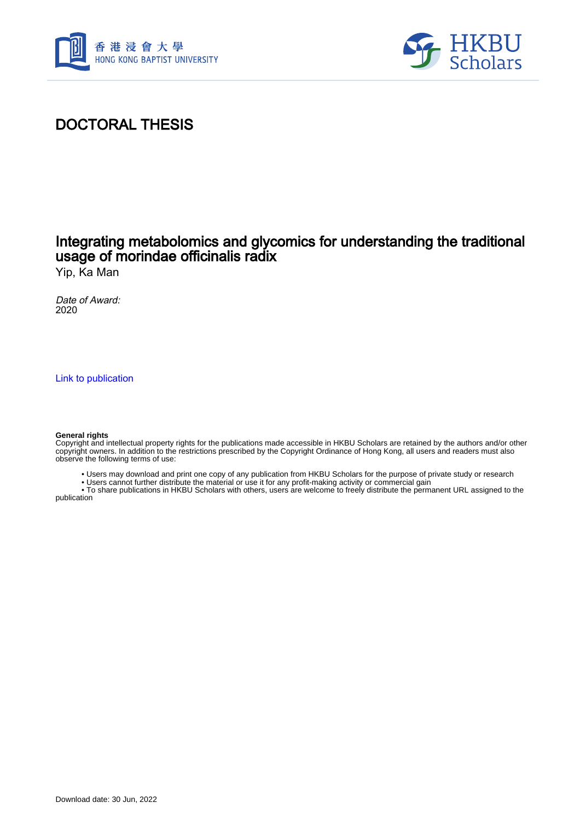



# DOCTORAL THESIS

## Integrating metabolomics and glycomics for understanding the traditional usage of morindae officinalis radix

Yip, Ka Man

Date of Award: 2020

[Link to publication](https://scholars.hkbu.edu.hk/en/studentTheses/3c014952-256e-4ded-92d9-39d42edd2bc0)

#### **General rights**

Copyright and intellectual property rights for the publications made accessible in HKBU Scholars are retained by the authors and/or other copyright owners. In addition to the restrictions prescribed by the Copyright Ordinance of Hong Kong, all users and readers must also observe the following terms of use:

- Users may download and print one copy of any publication from HKBU Scholars for the purpose of private study or research
- Users cannot further distribute the material or use it for any profit-making activity or commercial gain

 • To share publications in HKBU Scholars with others, users are welcome to freely distribute the permanent URL assigned to the publication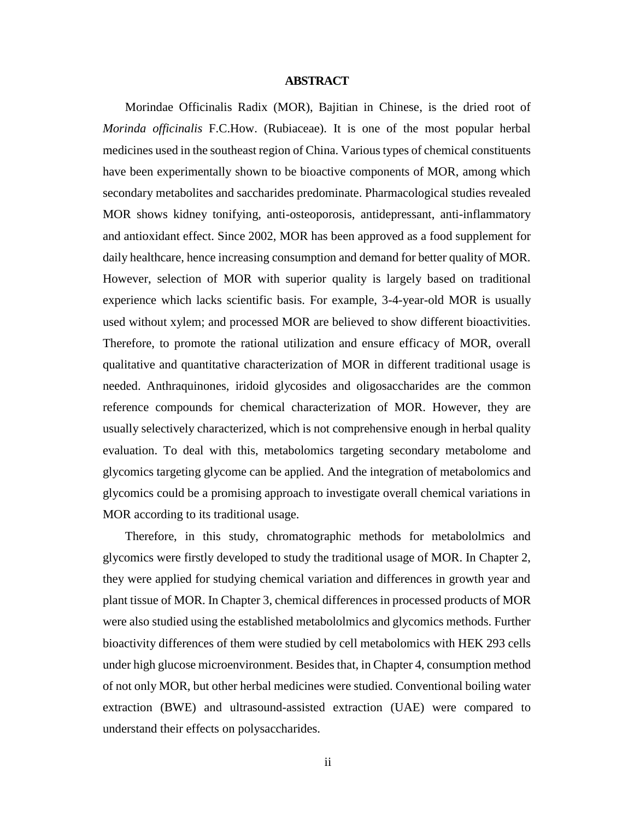### **ABSTRACT**

<span id="page-1-0"></span>Morindae Officinalis Radix (MOR), Bajitian in Chinese, is the dried root of *Morinda officinalis* F.C.How. (Rubiaceae). It is one of the most popular herbal medicines used in the southeast region of China. Various types of chemical constituents have been experimentally shown to be bioactive components of MOR, among which secondary metabolites and saccharides predominate. Pharmacological studies revealed MOR shows kidney tonifying, anti-osteoporosis, antidepressant, anti-inflammatory and antioxidant effect. Since 2002, MOR has been approved as a food supplement for daily healthcare, hence increasing consumption and demand for better quality of MOR. However, selection of MOR with superior quality is largely based on traditional experience which lacks scientific basis. For example, 3-4-year-old MOR is usually used without xylem; and processed MOR are believed to show different bioactivities. Therefore, to promote the rational utilization and ensure efficacy of MOR, overall qualitative and quantitative characterization of MOR in different traditional usage is needed. Anthraquinones, iridoid glycosides and oligosaccharides are the common reference compounds for chemical characterization of MOR. However, they are usually selectively characterized, which is not comprehensive enough in herbal quality evaluation. To deal with this, metabolomics targeting secondary metabolome and glycomics targeting glycome can be applied. And the integration of metabolomics and glycomics could be a promising approach to investigate overall chemical variations in MOR according to its traditional usage.

Therefore, in this study, chromatographic methods for metabololmics and glycomics were firstly developed to study the traditional usage of MOR. In Chapter 2, they were applied for studying chemical variation and differences in growth year and plant tissue of MOR. In Chapter 3, chemical differences in processed products of MOR were also studied using the established metabololmics and glycomics methods. Further bioactivity differences of them were studied by cell metabolomics with HEK 293 cells under high glucose microenvironment. Besides that, in Chapter 4, consumption method of not only MOR, but other herbal medicines were studied. Conventional boiling water extraction (BWE) and ultrasound-assisted extraction (UAE) were compared to understand their effects on polysaccharides.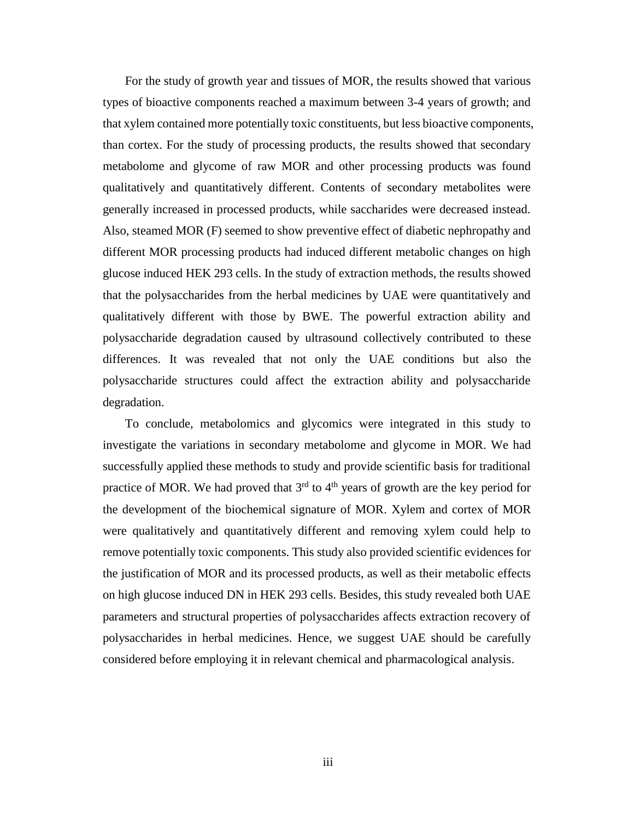For the study of growth year and tissues of MOR, the results showed that various types of bioactive components reached a maximum between 3-4 years of growth; and that xylem contained more potentially toxic constituents, but less bioactive components, than cortex. For the study of processing products, the results showed that secondary metabolome and glycome of raw MOR and other processing products was found qualitatively and quantitatively different. Contents of secondary metabolites were generally increased in processed products, while saccharides were decreased instead. Also, steamed MOR (F) seemed to show preventive effect of diabetic nephropathy and different MOR processing products had induced different metabolic changes on high glucose induced HEK 293 cells. In the study of extraction methods, the results showed that the polysaccharides from the herbal medicines by UAE were quantitatively and qualitatively different with those by BWE. The powerful extraction ability and polysaccharide degradation caused by ultrasound collectively contributed to these differences. It was revealed that not only the UAE conditions but also the polysaccharide structures could affect the extraction ability and polysaccharide degradation.

To conclude, metabolomics and glycomics were integrated in this study to investigate the variations in secondary metabolome and glycome in MOR. We had successfully applied these methods to study and provide scientific basis for traditional practice of MOR. We had proved that  $3<sup>rd</sup>$  to  $4<sup>th</sup>$  years of growth are the key period for the development of the biochemical signature of MOR. Xylem and cortex of MOR were qualitatively and quantitatively different and removing xylem could help to remove potentially toxic components. This study also provided scientific evidences for the justification of MOR and its processed products, as well as their metabolic effects on high glucose induced DN in HEK 293 cells. Besides, this study revealed both UAE parameters and structural properties of polysaccharides affects extraction recovery of polysaccharides in herbal medicines. Hence, we suggest UAE should be carefully considered before employing it in relevant chemical and pharmacological analysis.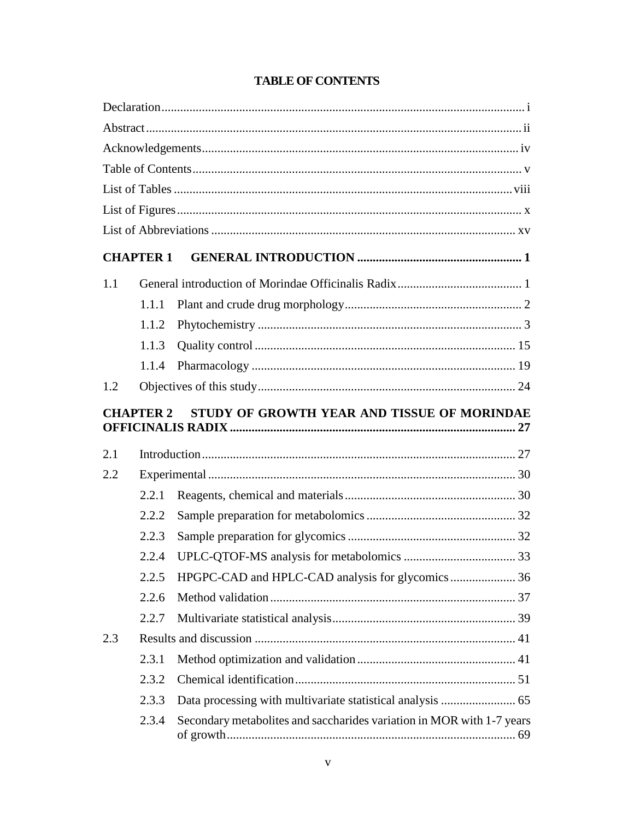<span id="page-3-0"></span>

|     | <b>CHAPTER 1</b> |                                             |  |
|-----|------------------|---------------------------------------------|--|
| 1.1 |                  |                                             |  |
|     | 1.1.1            |                                             |  |
|     | 1.1.2            |                                             |  |
|     | 1.1.3            |                                             |  |
|     | 1.1.4            |                                             |  |
| 1.2 |                  |                                             |  |
|     | <b>CHAPTER 2</b> | STUDY OF GROWTH YEAR AND TISSUE OF MORINDAE |  |
| 2.1 |                  |                                             |  |
| 2.2 |                  |                                             |  |
|     | 2.2.1            |                                             |  |
|     | 2.2.2            |                                             |  |
|     | 2.2.3            |                                             |  |
|     | 2.2.4            |                                             |  |
|     | 2.2.5            |                                             |  |
|     | 2.2.6            |                                             |  |
|     | 2.2.7            |                                             |  |
| 2.3 |                  |                                             |  |
|     |                  |                                             |  |
|     | 2.3.1            |                                             |  |
|     | 2.3.2            |                                             |  |
|     | 2.3.3            |                                             |  |

### **TABLE OF CONTENTS**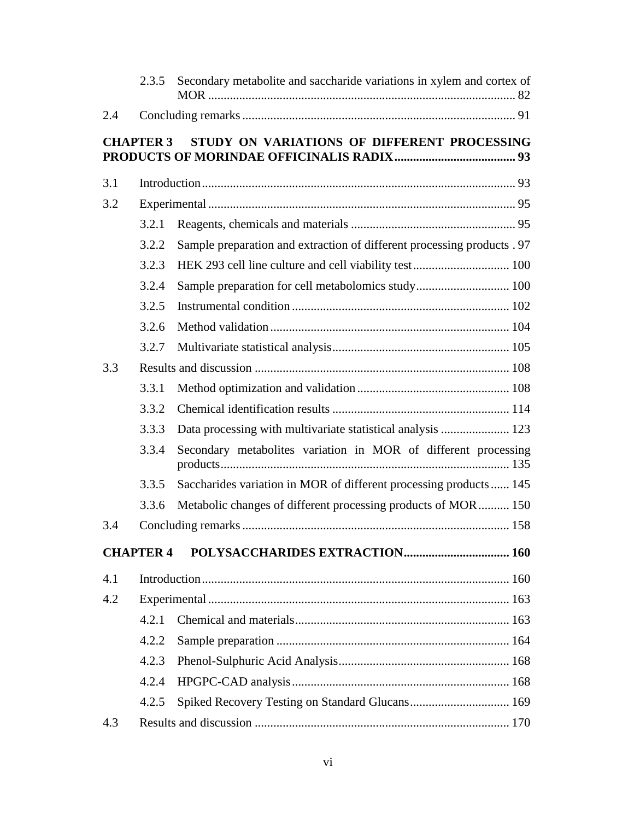|     | 2.3.5            | Secondary metabolite and saccharide variations in xylem and cortex of   |  |  |  |  |
|-----|------------------|-------------------------------------------------------------------------|--|--|--|--|
| 2.4 |                  |                                                                         |  |  |  |  |
|     | <b>CHAPTER 3</b> | STUDY ON VARIATIONS OF DIFFERENT PROCESSING                             |  |  |  |  |
| 3.1 |                  |                                                                         |  |  |  |  |
| 3.2 |                  |                                                                         |  |  |  |  |
|     | 3.2.1            |                                                                         |  |  |  |  |
|     | 3.2.2            | Sample preparation and extraction of different processing products . 97 |  |  |  |  |
|     | 3.2.3            |                                                                         |  |  |  |  |
|     | 3.2.4            | Sample preparation for cell metabolomics study 100                      |  |  |  |  |
|     | 3.2.5            |                                                                         |  |  |  |  |
|     | 3.2.6            |                                                                         |  |  |  |  |
|     | 3.2.7            |                                                                         |  |  |  |  |
| 3.3 |                  |                                                                         |  |  |  |  |
|     | 3.3.1            |                                                                         |  |  |  |  |
|     | 3.3.2            |                                                                         |  |  |  |  |
|     | 3.3.3            | Data processing with multivariate statistical analysis  123             |  |  |  |  |
|     | 3.3.4            | Secondary metabolites variation in MOR of different processing          |  |  |  |  |
|     | 3.3.5            | Saccharides variation in MOR of different processing products 145       |  |  |  |  |
|     | 3.3.6            | Metabolic changes of different processing products of MOR 150           |  |  |  |  |
| 3.4 |                  |                                                                         |  |  |  |  |
|     | <b>CHAPTER 4</b> |                                                                         |  |  |  |  |
| 4.1 |                  |                                                                         |  |  |  |  |
| 4.2 |                  |                                                                         |  |  |  |  |
|     | 4.2.1            |                                                                         |  |  |  |  |
|     | 4.2.2            |                                                                         |  |  |  |  |
|     | 4.2.3            |                                                                         |  |  |  |  |
|     | 4.2.4            |                                                                         |  |  |  |  |
|     | 4.2.5            | Spiked Recovery Testing on Standard Glucans 169                         |  |  |  |  |
| 4.3 |                  |                                                                         |  |  |  |  |